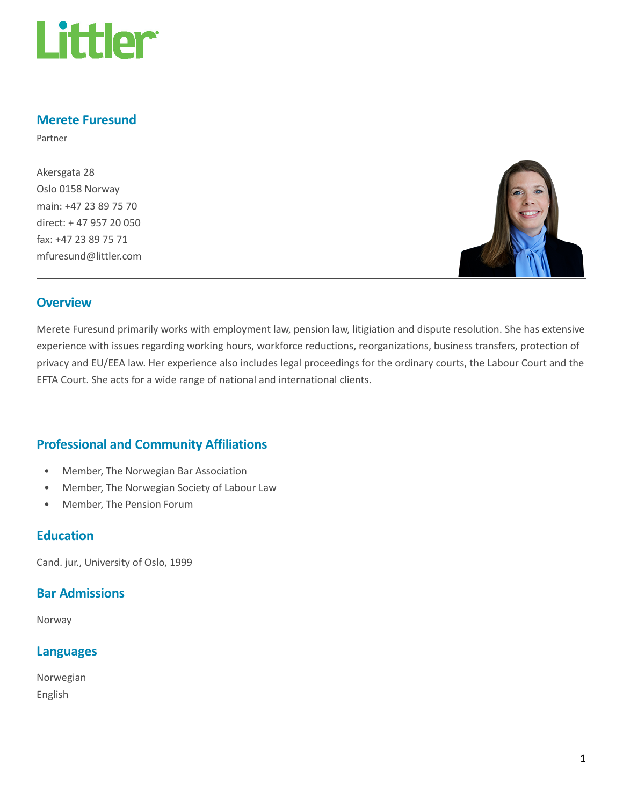

## Merete Furesund

Partner

Akersgata 28 Oslo 0158 Norway main: +47 23 89 75 70 direct: + 47 957 20 050 fax: +47 23 89 75 71 mfuresund@littler.com



#### **Overview**

Merete Furesund primarily works with employment law, pension law, litigiation and dispute resolution. She has extensive experience with issues regarding working hours, workforce reductions, reorganizations, business transfers, protection of privacy and EU/EEA law. Her experience also includes legal proceedings for the ordinary courts, the Labour Court and the EFTA Court. She acts for a wide range of national and international clients.

# Professional and Community Affiliations

- Member, The Norwegian Bar Association
- Member, The Norwegian Society of Labour Law
- Member, The Pension Forum

#### **Education**

Cand. jur., University of Oslo, 1999

#### Bar Admissions

Norway

#### Languages

Norwegian English